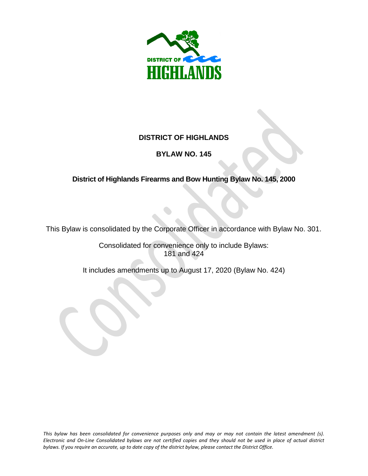

## **DISTRICT OF HIGHLANDS**

## **BYLAW NO. 145**

# **District of Highlands Firearms and Bow Hunting Bylaw No. 145, 2000**

This Bylaw is consolidated by the Corporate Officer in accordance with Bylaw No. 301.

Consolidated for convenience only to include Bylaws: 181 and 424

It includes amendments up to August 17, 2020 (Bylaw No. 424)

*This bylaw has been consolidated for convenience purposes only and may or may not contain the latest amendment (s). Electronic and On-Line Consolidated bylaws are not certified copies and they should not be used in place of actual district bylaws. If you require an accurate, up to date copy of the district bylaw, please contact the District Office.*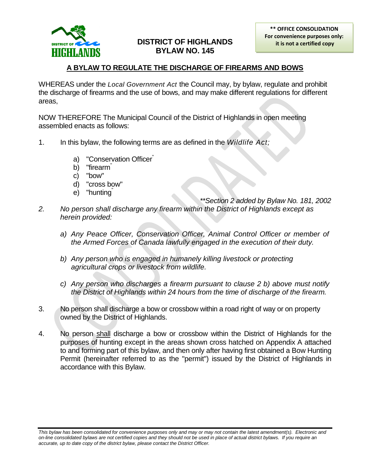

## **DISTRICT OF HIGHLANDS BYLAW NO. 145**

#### **A BYLAW TO REGULATE THE DISCHARGE OF FIREARMS AND BOWS**

WHEREAS under the *Local Government Act* the Council may, by bylaw, regulate and prohibit the discharge of firearms and the use of bows, and may make different regulations for different areas,

NOW THEREFORE The Municipal Council of the District of Highlands in open meeting assembled enacts as follows:

- 1. In this bylaw, the following terms are as defined in the *Wildlife Act;*
	- a) "Conservation Officer"
	- b) "firearm<sup>"</sup>
	- c) "bow"
	- d) "cross bow"
	- e) "hunting"

*\*\*Section 2 added by Bylaw No. 181, 2002*

- *2. No person shall discharge any firearm within the District of Highlands except as herein provided:*
	- *a) Any Peace Officer, Conservation Officer, Animal Control Officer or member of the Armed Forces of Canada lawfully engaged in the execution of their duty.*
	- *b) Any person who is engaged in humanely killing livestock or protecting agricultural crops or livestock from wildlife.*
	- *c) Any person who discharges a firearm pursuant to clause 2 b) above must notify the District of Highlands within 24 hours from the time of discharge of the firearm.*
- 3. No person shall discharge a bow or crossbow within a road right of way or on property owned by the District of Highlands.
- 4. No person shall discharge a bow or crossbow within the District of Highlands for the purposes of hunting except in the areas shown cross hatched on Appendix A attached to and forming part of this bylaw, and then only after having first obtained a Bow Hunting Permit (hereinafter referred to as the "permit") issued by the District of Highlands in accordance with this Bylaw.

*This bylaw has been consolidated for convenience purposes only and may or may not contain the latest amendment(s). Electronic and on-line consolidated bylaws are not certified copies and they should not be used in place of actual district bylaws. If you require an accurate, up to date copy of the district bylaw, please contact the District Officer.*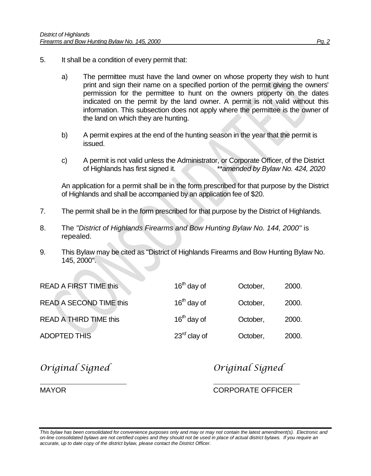- 5. It shall be a condition of every permit that:
	- a) The permittee must have the land owner on whose property they wish to hunt print and sign their name on a specified portion of the permit giving the owners' permission for the permittee to hunt on the owners property on the dates indicated on the permit by the land owner. A permit is not valid without this information. This subsection does not apply where the permittee is the owner of the land on which they are hunting.
	- b) A permit expires at the end of the hunting season in the year that the permit is issued.
	- c) A permit is not valid unless the Administrator, or Corporate Officer, of the District of Highlands has first signed it. *\*\*amended by Bylaw No. 424, 2020*

An application for a permit shall be in the form prescribed for that purpose by the District of Highlands and shall be accompanied by an application fee of \$20.

- 7. The permit shall be in the form prescribed for that purpose by the District of Highlands.
- 8. The *"District of Highlands Firearms and Bow Hunting Bylaw No. 144, 2000"* is repealed.
- 9. This Bylaw may be cited as "District of Highlands Firearms and Bow Hunting Bylaw No. 145, 2000".

| 2000. |
|-------|
| 2000. |
| 2000. |
|       |

*Original Signed Original Signed*

MAYOR CORPORATE OFFICER

*This bylaw has been consolidated for convenience purposes only and may or may not contain the latest amendment(s). Electronic and on-line consolidated bylaws are not certified copies and they should not be used in place of actual district bylaws. If you require an accurate, up to date copy of the district bylaw, please contact the District Officer.*